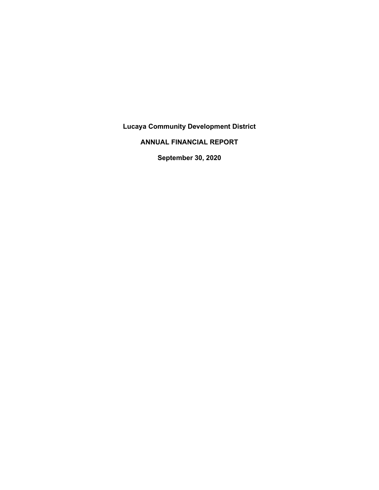**Lucaya Community Development District**

**ANNUAL FINANCIAL REPORT**

**September 30, 2020**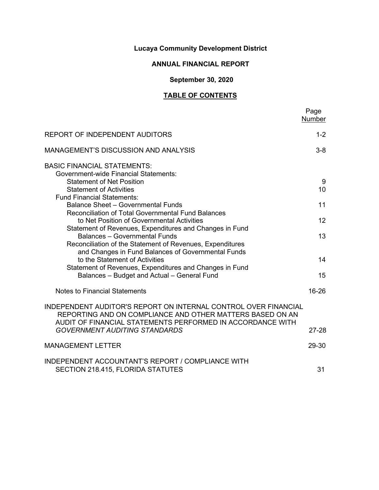# **Lucaya Community Development District**

# **ANNUAL FINANCIAL REPORT**

# **September 30, 2020**

# **TABLE OF CONTENTS**

|                                                                                                                                                                                            | Page<br>Number |
|--------------------------------------------------------------------------------------------------------------------------------------------------------------------------------------------|----------------|
| REPORT OF INDEPENDENT AUDITORS                                                                                                                                                             | $1 - 2$        |
| <b>MANAGEMENT'S DISCUSSION AND ANALYSIS</b>                                                                                                                                                | $3 - 8$        |
| <b>BASIC FINANCIAL STATEMENTS:</b><br><b>Government-wide Financial Statements:</b><br><b>Statement of Net Position</b>                                                                     | 9              |
| <b>Statement of Activities</b><br><b>Fund Financial Statements:</b>                                                                                                                        | 10             |
| <b>Balance Sheet - Governmental Funds</b>                                                                                                                                                  | 11             |
| Reconciliation of Total Governmental Fund Balances<br>to Net Position of Governmental Activities<br>Statement of Revenues, Expenditures and Changes in Fund                                | 12             |
| <b>Balances - Governmental Funds</b><br>Reconciliation of the Statement of Revenues, Expenditures                                                                                          | 13             |
| and Changes in Fund Balances of Governmental Funds<br>to the Statement of Activities<br>Statement of Revenues, Expenditures and Changes in Fund                                            | 14             |
| Balances - Budget and Actual - General Fund                                                                                                                                                | 15             |
| <b>Notes to Financial Statements</b>                                                                                                                                                       | 16-26          |
| INDEPENDENT AUDITOR'S REPORT ON INTERNAL CONTROL OVER FINANCIAL<br>REPORTING AND ON COMPLIANCE AND OTHER MATTERS BASED ON AN<br>AUDIT OF FINANCIAL STATEMENTS PERFORMED IN ACCORDANCE WITH |                |
| <b>GOVERNMENT AUDITING STANDARDS</b>                                                                                                                                                       | $27 - 28$      |
| <b>MANAGEMENT LETTER</b>                                                                                                                                                                   | 29-30          |
| INDEPENDENT ACCOUNTANT'S REPORT / COMPLIANCE WITH<br>SECTION 218.415, FLORIDA STATUTES                                                                                                     | 31             |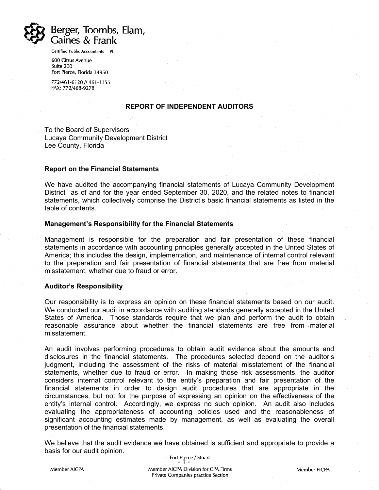

Certified Public Accountants PL

600 Citrus Avenue Suite 200 Fort Pierce, Florida 34950

772/461-6120 // 461-1155 FAX: 772/468-9278

#### **REPORT OF INDEPENDENT AUDITORS**

To the Board of Supervisors Lucaya Community Development District Lee County, Florida

#### **Report on the Financial Statements**

We have audited the accompanying financial statements of Lucaya Community Development District as of and for the year ended September 30, 2020, and the related notes to financial statements, which collectively comprise the District's basic financial statements as listed in the table of contents.

#### **Management's Responsibility for the Financial Statements**

Management is responsible for the preparation and fair presentation of these financial statements in accordance with accounting principles generally accepted in the United States of America; this includes the design, implementation, and maintenance of internal control relevant to the preparation and fair presentation of financial statements that are free from material misstatement, whether due to fraud or error.

#### **Auditor's Responsibility**

Our responsibility is to express an opinion on these financial statements based on our audit. We conducted our audit in accordance with auditing standards generally accepted in the United States of America. Those standards require that we plan and perform the audit to obtain reasonable assurance about whether the financial statements are free from material misstatement.

An audit involves performing procedures to obtain audit evidence about the amounts and disclosures in the financial statements. The procedures selected depend on the auditor's judgment, including the assessment of the risks of material misstatement of the financial statements, whether due to fraud or error. In making those risk assessments, the auditor considers internal control relevant to the entity's preparation and fair presentation of the financial statements in order to design audit procedures that are appropriate in the circumstances, but not for the purpose of expressing an opinion on the effectiveness of the entity's internal control. Accordingly, we express no such opinion. An audit also includes evaluating the appropriateness of accounting policies used and the reasonableness of significant accounting estimates made by management, as well as evaluating the overall presentation of the financial statements.

We believe that the audit evidence we have obtained is sufficient and appropriate to provide a basis for our audit opinion.

> - 1 - Private Companies practice Section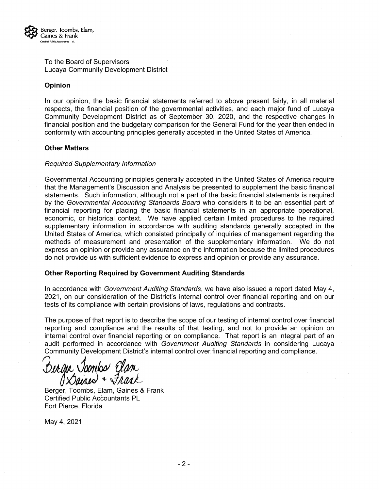

To the Board of Supervisors Lucaya Community Development District

#### **Opinion**

In our opinion, the basic financial statements referred to above present fairly, in all material respects, the financial position of the governmental activities, and each major fund of Lucaya Community Development District as of September 30, 2020, and the respective changes in financial position and the budgetary comparison for the General Fund for the year then ended in conformity with accounting principles generally accepted in the United States of America.

#### **Other Matters**

#### *Required Supplementary Information*

Governmental Accounting principles generally accepted in the United States of America require that the Management's Discussion and Analysis be presented to supplement the basic financial statements. Such information, although not a part of the basic financial statements is required by the *Governmental Accounting Standards Board* who considers it to be an essential part of financial reporting for placing the basic financial statements in an appropriate operational, economic, or historical context. We have applied certain limited procedures to the required supplementary information in accordance with auditing standards generally accepted in the United States of America, which consisted principally of inquiries of management regarding the methods of measurement and presentation of the supplementary information. We do not express an opinion or provide any assurance on the information because the limited procedures do not provide us with sufficient evidence to express and opinion or provide any assurance.

#### **Other Reporting Required by Government Auditing Standards**

In accordance with *Government Auditing Standards*, we have also issued a report dated May 4, 2021, on our consideration of the District's internal control over financial reporting and on our tests of its compliance with certain provisions of laws, regulations and contracts.

The purpose of that report is to describe the scope of our testing of internal control over financial reporting and compliance and the results of that testing, and not to provide an opinion on internal control over financial reporting or on compliance. That report is an integral part of an audit performed in accordance with *Government Auditing Standards* in considering Lucaya Community Development District's internal control over financial reporting and compliance.

 $+$   $\sqrt{h}a$ 

Berger, Toombs, Elam, Gaines & Frank Certified Public Accountants PL Fort Pierce, Florida

May 4, 2021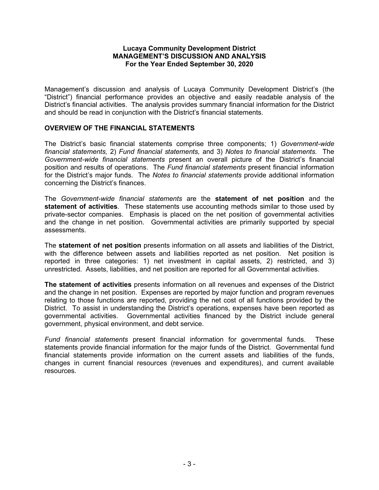Management's discussion and analysis of Lucaya Community Development District's (the "District") financial performance provides an objective and easily readable analysis of the District's financial activities. The analysis provides summary financial information for the District and should be read in conjunction with the District's financial statements.

## **OVERVIEW OF THE FINANCIAL STATEMENTS**

The District's basic financial statements comprise three components; 1) *Government-wide financial statements,* 2) *Fund financial statements,* and 3) *Notes to financial statements.* The *Government-wide financial statements* present an overall picture of the District's financial position and results of operations. The *Fund financial statements* present financial information for the District's major funds. The *Notes to financial statements* provide additional information concerning the District's finances.

The *Government-wide financial statements* are the **statement of net position** and the **statement of activities**. These statements use accounting methods similar to those used by private-sector companies. Emphasis is placed on the net position of governmental activities and the change in net position. Governmental activities are primarily supported by special assessments.

The **statement of net position** presents information on all assets and liabilities of the District, with the difference between assets and liabilities reported as net position. Net position is reported in three categories: 1) net investment in capital assets, 2) restricted, and 3) unrestricted. Assets, liabilities, and net position are reported for all Governmental activities.

**The statement of activities** presents information on all revenues and expenses of the District and the change in net position. Expenses are reported by major function and program revenues relating to those functions are reported, providing the net cost of all functions provided by the District. To assist in understanding the District's operations, expenses have been reported as governmental activities. Governmental activities financed by the District include general government, physical environment, and debt service.

*Fund financial statements* present financial information for governmental funds. These statements provide financial information for the major funds of the District. Governmental fund financial statements provide information on the current assets and liabilities of the funds, changes in current financial resources (revenues and expenditures), and current available resources.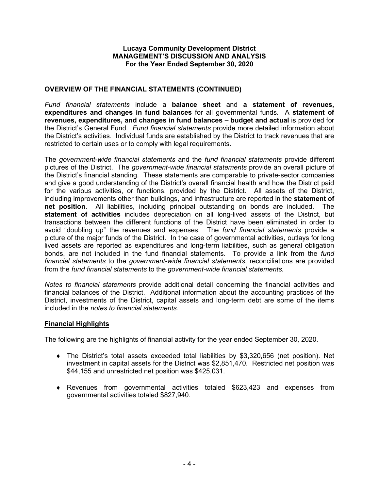## **OVERVIEW OF THE FINANCIAL STATEMENTS (CONTINUED)**

*Fund financial statements* include a **balance sheet** and **a statement of revenues, expenditures and changes in fund balances** for all governmental funds. A **statement of revenues, expenditures, and changes in fund balances – budget and actual** is provided for the District's General Fund. *Fund financial statements* provide more detailed information about the District's activities. Individual funds are established by the District to track revenues that are restricted to certain uses or to comply with legal requirements.

The *government-wide financial statements* and the *fund financial statements* provide different pictures of the District. The *government-wide financial statements* provide an overall picture of the District's financial standing. These statements are comparable to private-sector companies and give a good understanding of the District's overall financial health and how the District paid for the various activities, or functions, provided by the District. All assets of the District, including improvements other than buildings, and infrastructure are reported in the **statement of net position**. All liabilities, including principal outstanding on bonds are included. **statement of activities** includes depreciation on all long-lived assets of the District, but transactions between the different functions of the District have been eliminated in order to avoid "doubling up" the revenues and expenses. The *fund financial statements* provide a picture of the major funds of the District. In the case of governmental activities, outlays for long lived assets are reported as expenditures and long-term liabilities, such as general obligation bonds, are not included in the fund financial statements. To provide a link from the *fund financial statements* to the *government-wide financial statements*, reconciliations are provided from the *fund financial statements* to the *government-wide financial statements.*

*Notes to financial statements* provide additional detail concerning the financial activities and financial balances of the District. Additional information about the accounting practices of the District, investments of the District, capital assets and long-term debt are some of the items included in the *notes to financial statements.*

## **Financial Highlights**

The following are the highlights of financial activity for the year ended September 30, 2020.

- ♦ The District's total assets exceeded total liabilities by \$3,320,656 (net position). Net investment in capital assets for the District was \$2,851,470. Restricted net position was \$44,155 and unrestricted net position was \$425,031.
- ♦ Revenues from governmental activities totaled \$623,423 and expenses from governmental activities totaled \$827,940.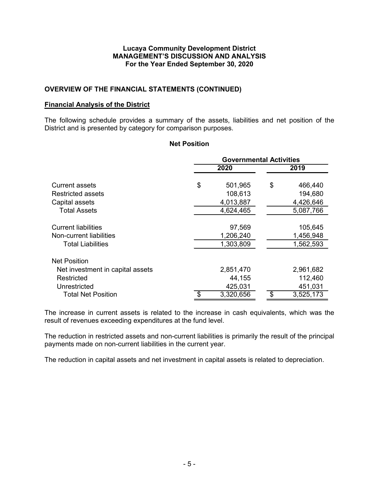## **OVERVIEW OF THE FINANCIAL STATEMENTS (CONTINUED)**

### **Financial Analysis of the District**

The following schedule provides a summary of the assets, liabilities and net position of the District and is presented by category for comparison purposes.

#### **Net Position**

|                                  | <b>Governmental Activities</b> |           |    |           |  |  |  |
|----------------------------------|--------------------------------|-----------|----|-----------|--|--|--|
|                                  |                                | 2020      |    | 2019      |  |  |  |
| Current assets                   | \$                             | 501,965   | \$ | 466,440   |  |  |  |
| Restricted assets                |                                | 108,613   |    | 194,680   |  |  |  |
| Capital assets                   |                                | 4,013,887 |    | 4,426,646 |  |  |  |
| Total Assets                     |                                | 4,624,465 |    | 5,087,766 |  |  |  |
| <b>Current liabilities</b>       |                                | 97,569    |    | 105,645   |  |  |  |
| Non-current liabilities          |                                | 1,206,240 |    | 1,456,948 |  |  |  |
| <b>Total Liabilities</b>         |                                | 1,303,809 |    | 1,562,593 |  |  |  |
| <b>Net Position</b>              |                                |           |    |           |  |  |  |
| Net investment in capital assets |                                | 2,851,470 |    | 2,961,682 |  |  |  |
| Restricted                       |                                | 44,155    |    | 112,460   |  |  |  |
| Unrestricted                     |                                | 425,031   |    | 451,031   |  |  |  |
| Total Net Position               | \$                             | 3,320,656 | \$ | 3,525,173 |  |  |  |

The increase in current assets is related to the increase in cash equivalents, which was the result of revenues exceeding expenditures at the fund level.

The reduction in restricted assets and non-current liabilities is primarily the result of the principal payments made on non-current liabilities in the current year.

The reduction in capital assets and net investment in capital assets is related to depreciation.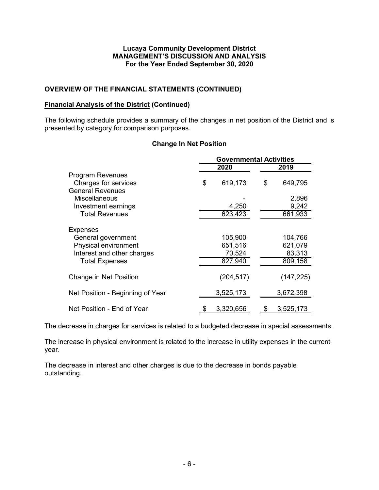## **OVERVIEW OF THE FINANCIAL STATEMENTS (CONTINUED)**

## **Financial Analysis of the District (Continued)**

The following schedule provides a summary of the changes in net position of the District and is presented by category for comparison purposes.

### **Change In Net Position**

|                                  | <b>Governmental Activities</b> |            |    |            |  |  |  |
|----------------------------------|--------------------------------|------------|----|------------|--|--|--|
|                                  |                                | 2020       |    | 2019       |  |  |  |
| <b>Program Revenues</b>          |                                |            |    |            |  |  |  |
| Charges for services             | \$                             | 619,173    | \$ | 649,795    |  |  |  |
| <b>General Revenues</b>          |                                |            |    |            |  |  |  |
| <b>Miscellaneous</b>             |                                |            |    | 2,896      |  |  |  |
| Investment earnings              |                                | 4,250      |    | 9,242      |  |  |  |
| <b>Total Revenues</b>            |                                | 623,423    |    | 661,933    |  |  |  |
| <b>Expenses</b>                  |                                |            |    |            |  |  |  |
| General government               |                                | 105,900    |    | 104,766    |  |  |  |
| Physical environment             |                                | 651,516    |    | 621,079    |  |  |  |
| Interest and other charges       |                                | 70,524     |    | 83,313     |  |  |  |
| <b>Total Expenses</b>            |                                | 827,940    |    | 809,158    |  |  |  |
| Change in Net Position           |                                | (204, 517) |    | (147, 225) |  |  |  |
| Net Position - Beginning of Year |                                | 3,525,173  |    | 3,672,398  |  |  |  |
| Net Position - End of Year       | \$                             | 3,320,656  | \$ | 3,525,173  |  |  |  |

The decrease in charges for services is related to a budgeted decrease in special assessments.

The increase in physical environment is related to the increase in utility expenses in the current year.

The decrease in interest and other charges is due to the decrease in bonds payable outstanding.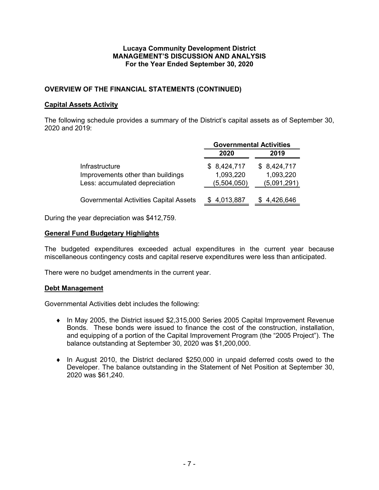## **OVERVIEW OF THE FINANCIAL STATEMENTS (CONTINUED)**

## **Capital Assets Activity**

The following schedule provides a summary of the District's capital assets as of September 30, 2020 and 2019:

|                                               | <b>Governmental Activities</b> |             |  |  |  |  |
|-----------------------------------------------|--------------------------------|-------------|--|--|--|--|
|                                               | 2020                           | 2019        |  |  |  |  |
| Infrastructure                                | \$8,424,717                    | \$8,424,717 |  |  |  |  |
| Improvements other than buildings             | 1,093,220                      | 1,093,220   |  |  |  |  |
| Less: accumulated depreciation                | (5,504,050)                    | (5,091,291) |  |  |  |  |
| <b>Governmental Activities Capital Assets</b> | 4,013,887                      | \$4,426,646 |  |  |  |  |

During the year depreciation was \$412,759.

## **General Fund Budgetary Highlights**

The budgeted expenditures exceeded actual expenditures in the current year because miscellaneous contingency costs and capital reserve expenditures were less than anticipated.

There were no budget amendments in the current year.

## **Debt Management**

Governmental Activities debt includes the following:

- ♦ In May 2005, the District issued \$2,315,000 Series 2005 Capital Improvement Revenue Bonds. These bonds were issued to finance the cost of the construction, installation, and equipping of a portion of the Capital Improvement Program (the "2005 Project"). The balance outstanding at September 30, 2020 was \$1,200,000.
- ♦ In August 2010, the District declared \$250,000 in unpaid deferred costs owed to the Developer. The balance outstanding in the Statement of Net Position at September 30, 2020 was \$61,240.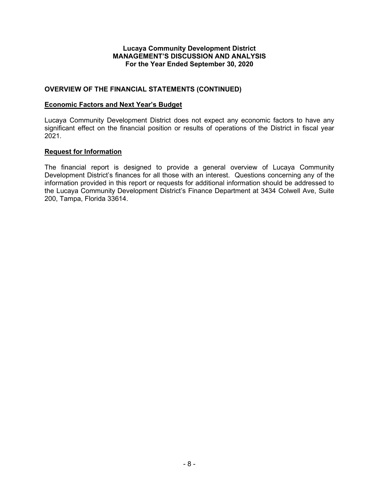## **OVERVIEW OF THE FINANCIAL STATEMENTS (CONTINUED)**

### **Economic Factors and Next Year's Budget**

Lucaya Community Development District does not expect any economic factors to have any significant effect on the financial position or results of operations of the District in fiscal year 2021.

### **Request for Information**

The financial report is designed to provide a general overview of Lucaya Community Development District's finances for all those with an interest. Questions concerning any of the information provided in this report or requests for additional information should be addressed to the Lucaya Community Development District's Finance Department at 3434 Colwell Ave, Suite 200, Tampa, Florida 33614.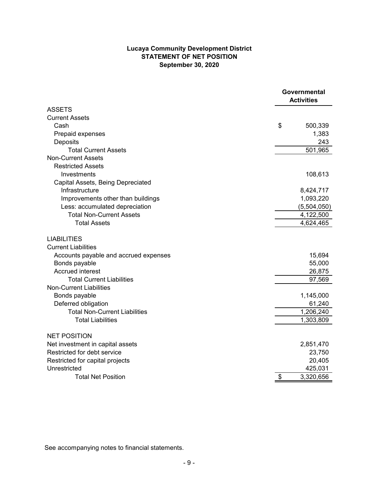### **Lucaya Community Development District STATEMENT OF NET POSITION September 30, 2020**

|                                                  | Governmental<br><b>Activities</b> |
|--------------------------------------------------|-----------------------------------|
| <b>ASSETS</b>                                    |                                   |
| <b>Current Assets</b>                            |                                   |
| Cash                                             | \$<br>500,339                     |
| Prepaid expenses                                 | 1,383                             |
| Deposits                                         | 243                               |
| <b>Total Current Assets</b>                      | 501,965                           |
| <b>Non-Current Assets</b>                        |                                   |
| <b>Restricted Assets</b>                         |                                   |
| Investments                                      | 108,613                           |
| Capital Assets, Being Depreciated                |                                   |
| Infrastructure                                   | 8,424,717                         |
| Improvements other than buildings                | 1,093,220                         |
| Less: accumulated depreciation                   | (5,504,050)                       |
| <b>Total Non-Current Assets</b>                  | 4,122,500                         |
| <b>Total Assets</b>                              | 4,624,465                         |
| <b>LIABILITIES</b><br><b>Current Liabilities</b> |                                   |
| Accounts payable and accrued expenses            | 15,694                            |
| Bonds payable                                    | 55,000                            |
| <b>Accrued interest</b>                          | 26,875                            |
| <b>Total Current Liabilities</b>                 | 97,569                            |
| <b>Non-Current Liabilities</b>                   |                                   |
| Bonds payable                                    | 1,145,000                         |
| Deferred obligation                              | 61,240                            |
| <b>Total Non-Current Liabilities</b>             | 1,206,240                         |
| <b>Total Liabilities</b>                         | 1,303,809                         |
| <b>NET POSITION</b>                              |                                   |
| Net investment in capital assets                 | 2,851,470                         |
| Restricted for debt service                      | 23,750                            |
| Restricted for capital projects                  | 20,405                            |
| Unrestricted                                     | 425,031                           |
| <b>Total Net Position</b>                        | \$<br>3,320,656                   |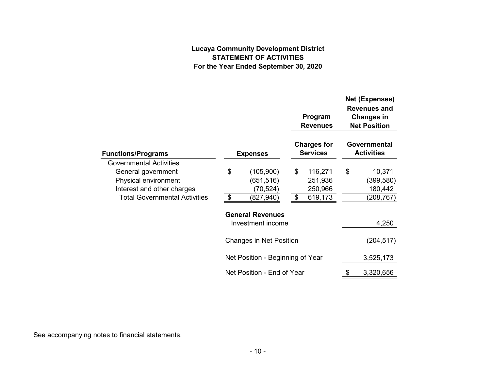# **Lucaya Community Development District STATEMENT OF ACTIVITIES For the Year Ended September 30, 2020**

|                                      |                                  |                                              |    | Program<br><b>Revenues</b>            |    | <b>Net (Expenses)</b><br><b>Revenues and</b><br><b>Changes in</b><br><b>Net Position</b> |
|--------------------------------------|----------------------------------|----------------------------------------------|----|---------------------------------------|----|------------------------------------------------------------------------------------------|
| <b>Functions/Programs</b>            |                                  | <b>Expenses</b>                              |    | <b>Charges for</b><br><b>Services</b> |    | Governmental<br><b>Activities</b>                                                        |
| <b>Governmental Activities</b>       |                                  |                                              |    |                                       |    |                                                                                          |
| General government                   | \$                               | (105,900)                                    | \$ | 116,271                               | \$ | 10,371                                                                                   |
| Physical environment                 |                                  | (651, 516)                                   |    | 251,936                               |    | (399, 580)                                                                               |
| Interest and other charges           |                                  | (70,524)                                     |    | 250,966                               |    | 180,442                                                                                  |
| <b>Total Governmental Activities</b> | \$                               | (827,940)                                    | \$ | 619,173                               |    | (208, 767)                                                                               |
|                                      |                                  | <b>General Revenues</b><br>Investment income |    |                                       |    | 4,250                                                                                    |
|                                      |                                  | <b>Changes in Net Position</b>               |    |                                       |    | (204, 517)                                                                               |
|                                      | Net Position - Beginning of Year |                                              |    |                                       |    | 3,525,173                                                                                |
|                                      |                                  | Net Position - End of Year                   | \$ | 3,320,656                             |    |                                                                                          |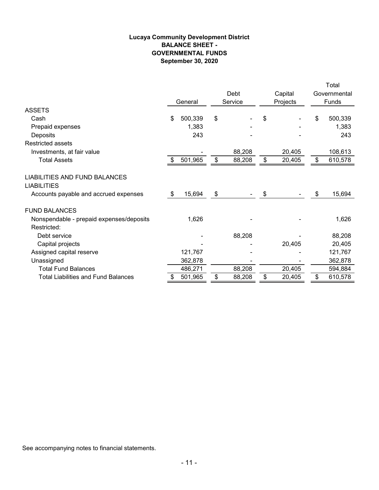### **Lucaya Community Development District BALANCE SHEET - GOVERNMENTAL FUNDS September 30, 2020**

| Debt<br>Capital<br>Governmental<br>Projects<br>General<br>Service<br>Funds<br>\$<br>500,339<br>\$<br>\$<br>\$<br>500,339<br>Cash<br>1,383<br>1,383<br>Prepaid expenses<br>Deposits<br>243<br>243<br><b>Restricted assets</b><br>88,208<br>20,405<br>108,613<br>Investments, at fair value<br>501,965<br>\$<br>20,405<br>\$<br>610,578<br><b>Total Assets</b><br>\$<br>88,208<br>\$<br>LIABILITIES AND FUND BALANCES<br><b>LIABILITIES</b><br>15,694<br>15,694<br>\$<br>Accounts payable and accrued expenses<br>\$<br>\$<br>S<br><b>FUND BALANCES</b><br>1,626<br>1,626<br>Nonspendable - prepaid expenses/deposits<br>Restricted:<br>88,208<br>88,208<br>Debt service<br>20,405<br>Capital projects<br>20,405<br>121,767<br>Assigned capital reserve<br>121,767<br>Unassigned<br>362,878<br>362,878<br>88,208<br>20,405<br><b>Total Fund Balances</b><br>486,271<br>594,884<br><b>Total Liabilities and Fund Balances</b><br>\$<br>\$<br>501,965<br>20,405<br>\$<br>610,578<br>88,208 |               |  |  |  | Total |
|----------------------------------------------------------------------------------------------------------------------------------------------------------------------------------------------------------------------------------------------------------------------------------------------------------------------------------------------------------------------------------------------------------------------------------------------------------------------------------------------------------------------------------------------------------------------------------------------------------------------------------------------------------------------------------------------------------------------------------------------------------------------------------------------------------------------------------------------------------------------------------------------------------------------------------------------------------------------------------------|---------------|--|--|--|-------|
|                                                                                                                                                                                                                                                                                                                                                                                                                                                                                                                                                                                                                                                                                                                                                                                                                                                                                                                                                                                        |               |  |  |  |       |
|                                                                                                                                                                                                                                                                                                                                                                                                                                                                                                                                                                                                                                                                                                                                                                                                                                                                                                                                                                                        |               |  |  |  |       |
|                                                                                                                                                                                                                                                                                                                                                                                                                                                                                                                                                                                                                                                                                                                                                                                                                                                                                                                                                                                        | <b>ASSETS</b> |  |  |  |       |
|                                                                                                                                                                                                                                                                                                                                                                                                                                                                                                                                                                                                                                                                                                                                                                                                                                                                                                                                                                                        |               |  |  |  |       |
|                                                                                                                                                                                                                                                                                                                                                                                                                                                                                                                                                                                                                                                                                                                                                                                                                                                                                                                                                                                        |               |  |  |  |       |
|                                                                                                                                                                                                                                                                                                                                                                                                                                                                                                                                                                                                                                                                                                                                                                                                                                                                                                                                                                                        |               |  |  |  |       |
|                                                                                                                                                                                                                                                                                                                                                                                                                                                                                                                                                                                                                                                                                                                                                                                                                                                                                                                                                                                        |               |  |  |  |       |
|                                                                                                                                                                                                                                                                                                                                                                                                                                                                                                                                                                                                                                                                                                                                                                                                                                                                                                                                                                                        |               |  |  |  |       |
|                                                                                                                                                                                                                                                                                                                                                                                                                                                                                                                                                                                                                                                                                                                                                                                                                                                                                                                                                                                        |               |  |  |  |       |
|                                                                                                                                                                                                                                                                                                                                                                                                                                                                                                                                                                                                                                                                                                                                                                                                                                                                                                                                                                                        |               |  |  |  |       |
|                                                                                                                                                                                                                                                                                                                                                                                                                                                                                                                                                                                                                                                                                                                                                                                                                                                                                                                                                                                        |               |  |  |  |       |
|                                                                                                                                                                                                                                                                                                                                                                                                                                                                                                                                                                                                                                                                                                                                                                                                                                                                                                                                                                                        |               |  |  |  |       |
|                                                                                                                                                                                                                                                                                                                                                                                                                                                                                                                                                                                                                                                                                                                                                                                                                                                                                                                                                                                        |               |  |  |  |       |
|                                                                                                                                                                                                                                                                                                                                                                                                                                                                                                                                                                                                                                                                                                                                                                                                                                                                                                                                                                                        |               |  |  |  |       |
|                                                                                                                                                                                                                                                                                                                                                                                                                                                                                                                                                                                                                                                                                                                                                                                                                                                                                                                                                                                        |               |  |  |  |       |
|                                                                                                                                                                                                                                                                                                                                                                                                                                                                                                                                                                                                                                                                                                                                                                                                                                                                                                                                                                                        |               |  |  |  |       |
|                                                                                                                                                                                                                                                                                                                                                                                                                                                                                                                                                                                                                                                                                                                                                                                                                                                                                                                                                                                        |               |  |  |  |       |
|                                                                                                                                                                                                                                                                                                                                                                                                                                                                                                                                                                                                                                                                                                                                                                                                                                                                                                                                                                                        |               |  |  |  |       |
|                                                                                                                                                                                                                                                                                                                                                                                                                                                                                                                                                                                                                                                                                                                                                                                                                                                                                                                                                                                        |               |  |  |  |       |
|                                                                                                                                                                                                                                                                                                                                                                                                                                                                                                                                                                                                                                                                                                                                                                                                                                                                                                                                                                                        |               |  |  |  |       |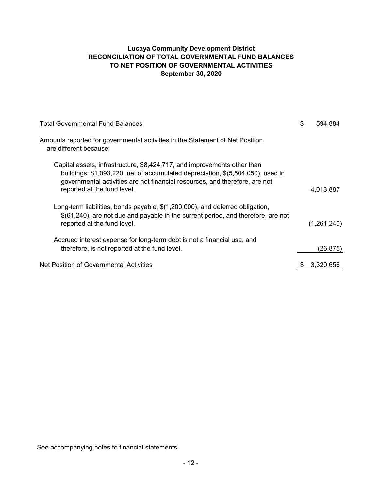## **Lucaya Community Development District RECONCILIATION OF TOTAL GOVERNMENTAL FUND BALANCES TO NET POSITION OF GOVERNMENTAL ACTIVITIES September 30, 2020**

| <b>Total Governmental Fund Balances</b>                                                                                                                                                                                                                                   | \$<br>594.884 |
|---------------------------------------------------------------------------------------------------------------------------------------------------------------------------------------------------------------------------------------------------------------------------|---------------|
| Amounts reported for governmental activities in the Statement of Net Position<br>are different because:                                                                                                                                                                   |               |
| Capital assets, infrastructure, \$8,424,717, and improvements other than<br>buildings, \$1,093,220, net of accumulated depreciation, \$(5,504,050), used in<br>governmental activities are not financial resources, and therefore, are not<br>reported at the fund level. | 4,013,887     |
| Long-term liabilities, bonds payable, \$(1,200,000), and deferred obligation,<br>\$(61,240), are not due and payable in the current period, and therefore, are not<br>reported at the fund level.                                                                         | (1,261,240)   |
| Accrued interest expense for long-term debt is not a financial use, and<br>therefore, is not reported at the fund level.                                                                                                                                                  | (26, 875)     |
| Net Position of Governmental Activities                                                                                                                                                                                                                                   | 3,320,656     |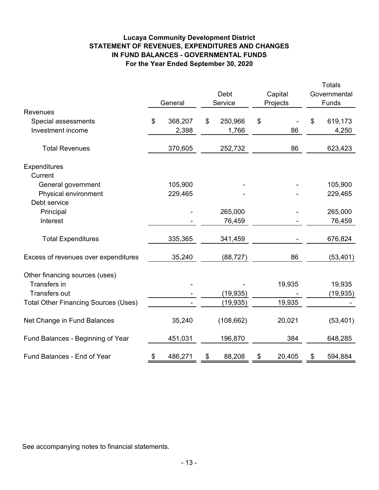# **Lucaya Community Development District STATEMENT OF REVENUES, EXPENDITURES AND CHANGES IN FUND BALANCES - GOVERNMENTAL FUNDS For the Year Ended September 30, 2020**

|                                             | Debt<br>General<br>Service |         | Capital<br>Projects |    | <b>Totals</b><br>Governmental<br>Funds |    |           |
|---------------------------------------------|----------------------------|---------|---------------------|----|----------------------------------------|----|-----------|
| Revenues                                    |                            |         |                     |    |                                        |    |           |
| Special assessments                         | \$                         | 368,207 | \$<br>250,966       | \$ |                                        | \$ | 619,173   |
| Investment income                           |                            | 2,398   | 1,766               |    | 86                                     |    | 4,250     |
| <b>Total Revenues</b>                       |                            | 370,605 | 252,732             |    | 86                                     |    | 623,423   |
| Expenditures                                |                            |         |                     |    |                                        |    |           |
| Current                                     |                            |         |                     |    |                                        |    |           |
| General government                          |                            | 105,900 |                     |    |                                        |    | 105,900   |
| Physical environment                        |                            | 229,465 |                     |    |                                        |    | 229,465   |
| Debt service                                |                            |         |                     |    |                                        |    |           |
| Principal                                   |                            |         | 265,000             |    |                                        |    | 265,000   |
| Interest                                    |                            |         | 76,459              |    |                                        |    | 76,459    |
| <b>Total Expenditures</b>                   |                            | 335,365 | 341,459             |    |                                        |    | 676,824   |
| Excess of revenues over expenditures        |                            | 35,240  | (88, 727)           |    | 86                                     |    | (53, 401) |
| Other financing sources (uses)              |                            |         |                     |    |                                        |    |           |
| Transfers in                                |                            |         |                     |    | 19,935                                 |    | 19,935    |
| Transfers out                               |                            |         | (19, 935)           |    |                                        |    | (19, 935) |
| <b>Total Other Financing Sources (Uses)</b> |                            |         | (19, 935)           |    | 19,935                                 |    |           |
| Net Change in Fund Balances                 |                            | 35,240  | (108, 662)          |    | 20,021                                 |    | (53, 401) |
| Fund Balances - Beginning of Year           |                            | 451,031 | 196,870             |    | 384                                    |    | 648,285   |
| Fund Balances - End of Year                 | \$                         | 486,271 | \$<br>88,208        | \$ | 20,405                                 | \$ | 594,884   |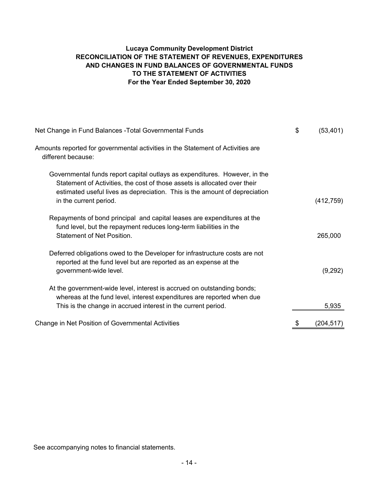## **Lucaya Community Development District RECONCILIATION OF THE STATEMENT OF REVENUES, EXPENDITURES AND CHANGES IN FUND BALANCES OF GOVERNMENTAL FUNDS TO THE STATEMENT OF ACTIVITIES For the Year Ended September 30, 2020**

| Net Change in Fund Balances - Total Governmental Funds                                                                                                                                                                                                          | \$<br>(53, 401) |
|-----------------------------------------------------------------------------------------------------------------------------------------------------------------------------------------------------------------------------------------------------------------|-----------------|
| Amounts reported for governmental activities in the Statement of Activities are<br>different because:                                                                                                                                                           |                 |
| Governmental funds report capital outlays as expenditures. However, in the<br>Statement of Activities, the cost of those assets is allocated over their<br>estimated useful lives as depreciation. This is the amount of depreciation<br>in the current period. | (412, 759)      |
| Repayments of bond principal and capital leases are expenditures at the<br>fund level, but the repayment reduces long-term liabilities in the<br><b>Statement of Net Position.</b>                                                                              | 265,000         |
| Deferred obligations owed to the Developer for infrastructure costs are not<br>reported at the fund level but are reported as an expense at the<br>government-wide level.                                                                                       | (9,292)         |
| At the government-wide level, interest is accrued on outstanding bonds;<br>whereas at the fund level, interest expenditures are reported when due<br>This is the change in accrued interest in the current period.                                              | 5,935           |
| Change in Net Position of Governmental Activities                                                                                                                                                                                                               | (204,517)       |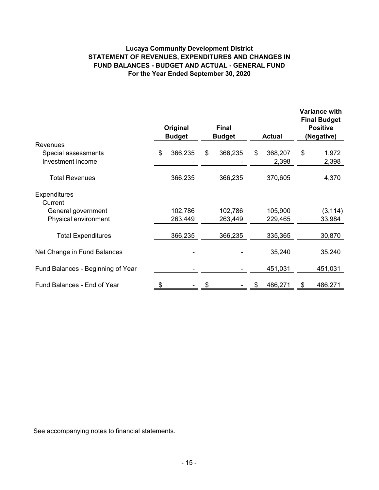## **Lucaya Community Development District STATEMENT OF REVENUES, EXPENDITURES AND CHANGES IN FUND BALANCES - BUDGET AND ACTUAL - GENERAL FUND For the Year Ended September 30, 2020**

|                                   | Original<br><b>Budget</b> | <b>Final</b><br><b>Budget</b> | <b>Actual</b> | <b>Variance with</b><br><b>Final Budget</b><br><b>Positive</b><br>(Negative) |
|-----------------------------------|---------------------------|-------------------------------|---------------|------------------------------------------------------------------------------|
| Revenues                          |                           |                               |               |                                                                              |
| Special assessments               | \$<br>366,235             | \$<br>366,235                 | \$<br>368,207 | \$<br>1,972                                                                  |
| Investment income                 |                           |                               | 2,398         | 2,398                                                                        |
| <b>Total Revenues</b>             | 366,235                   | 366,235                       | 370,605       | 4,370                                                                        |
| <b>Expenditures</b><br>Current    |                           |                               |               |                                                                              |
| General government                | 102,786                   | 102,786                       | 105,900       | (3, 114)                                                                     |
| Physical environment              | 263,449                   | 263,449                       | 229,465       | 33,984                                                                       |
| <b>Total Expenditures</b>         | 366,235                   | 366,235                       | 335,365       | 30,870                                                                       |
| Net Change in Fund Balances       |                           |                               | 35,240        | 35,240                                                                       |
| Fund Balances - Beginning of Year |                           |                               | 451,031       | 451,031                                                                      |
| Fund Balances - End of Year       |                           |                               | 486,271       | \$<br>486,271                                                                |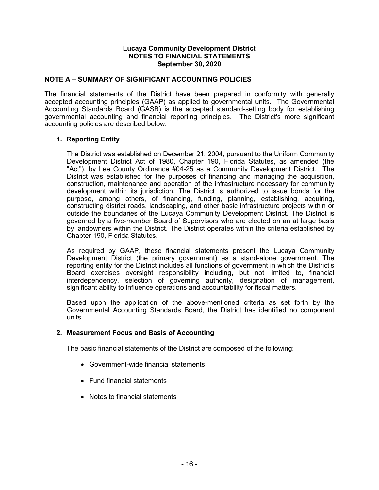## **NOTE A – SUMMARY OF SIGNIFICANT ACCOUNTING POLICIES**

The financial statements of the District have been prepared in conformity with generally accepted accounting principles (GAAP) as applied to governmental units. The Governmental Accounting Standards Board (GASB) is the accepted standard-setting body for establishing governmental accounting and financial reporting principles. The District's more significant accounting policies are described below.

## **1. Reporting Entity**

The District was established on December 21, 2004, pursuant to the Uniform Community Development District Act of 1980, Chapter 190, Florida Statutes, as amended (the "Act"), by Lee County Ordinance #04-25 as a Community Development District. The District was established for the purposes of financing and managing the acquisition, construction, maintenance and operation of the infrastructure necessary for community development within its jurisdiction. The District is authorized to issue bonds for the purpose, among others, of financing, funding, planning, establishing, acquiring, constructing district roads, landscaping, and other basic infrastructure projects within or outside the boundaries of the Lucaya Community Development District. The District is governed by a five-member Board of Supervisors who are elected on an at large basis by landowners within the District. The District operates within the criteria established by Chapter 190, Florida Statutes.

As required by GAAP, these financial statements present the Lucaya Community Development District (the primary government) as a stand-alone government. The reporting entity for the District includes all functions of government in which the District's Board exercises oversight responsibility including, but not limited to, financial interdependency, selection of governing authority, designation of management, significant ability to influence operations and accountability for fiscal matters.

Based upon the application of the above-mentioned criteria as set forth by the Governmental Accounting Standards Board, the District has identified no component units.

## **2. Measurement Focus and Basis of Accounting**

The basic financial statements of the District are composed of the following:

- Government-wide financial statements
- Fund financial statements
- Notes to financial statements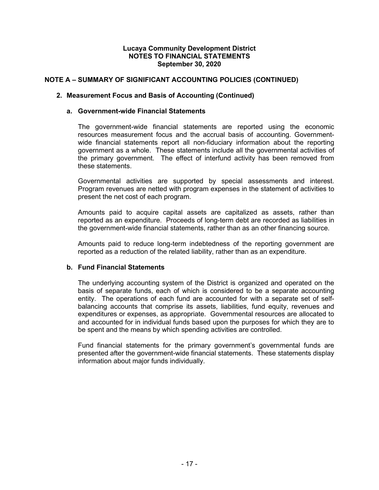## **NOTE A – SUMMARY OF SIGNIFICANT ACCOUNTING POLICIES (CONTINUED)**

## **2. Measurement Focus and Basis of Accounting (Continued)**

#### **a. Government-wide Financial Statements**

The government-wide financial statements are reported using the economic resources measurement focus and the accrual basis of accounting. Governmentwide financial statements report all non-fiduciary information about the reporting government as a whole. These statements include all the governmental activities of the primary government. The effect of interfund activity has been removed from these statements.

Governmental activities are supported by special assessments and interest. Program revenues are netted with program expenses in the statement of activities to present the net cost of each program.

Amounts paid to acquire capital assets are capitalized as assets, rather than reported as an expenditure. Proceeds of long-term debt are recorded as liabilities in the government-wide financial statements, rather than as an other financing source.

Amounts paid to reduce long-term indebtedness of the reporting government are reported as a reduction of the related liability, rather than as an expenditure.

#### **b. Fund Financial Statements**

The underlying accounting system of the District is organized and operated on the basis of separate funds, each of which is considered to be a separate accounting entity. The operations of each fund are accounted for with a separate set of selfbalancing accounts that comprise its assets, liabilities, fund equity, revenues and expenditures or expenses, as appropriate. Governmental resources are allocated to and accounted for in individual funds based upon the purposes for which they are to be spent and the means by which spending activities are controlled.

Fund financial statements for the primary government's governmental funds are presented after the government-wide financial statements. These statements display information about major funds individually.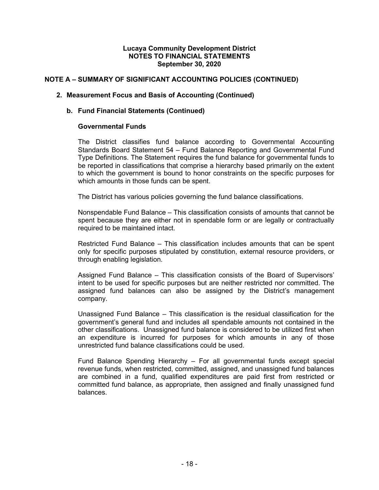## **NOTE A – SUMMARY OF SIGNIFICANT ACCOUNTING POLICIES (CONTINUED)**

## **2. Measurement Focus and Basis of Accounting (Continued)**

### **b. Fund Financial Statements (Continued)**

### **Governmental Funds**

The District classifies fund balance according to Governmental Accounting Standards Board Statement 54 – Fund Balance Reporting and Governmental Fund Type Definitions. The Statement requires the fund balance for governmental funds to be reported in classifications that comprise a hierarchy based primarily on the extent to which the government is bound to honor constraints on the specific purposes for which amounts in those funds can be spent.

The District has various policies governing the fund balance classifications.

Nonspendable Fund Balance – This classification consists of amounts that cannot be spent because they are either not in spendable form or are legally or contractually required to be maintained intact.

Restricted Fund Balance *–* This classification includes amounts that can be spent only for specific purposes stipulated by constitution, external resource providers, or through enabling legislation.

Assigned Fund Balance – This classification consists of the Board of Supervisors' intent to be used for specific purposes but are neither restricted nor committed. The assigned fund balances can also be assigned by the District's management company.

Unassigned Fund Balance – This classification is the residual classification for the government's general fund and includes all spendable amounts not contained in the other classifications. Unassigned fund balance is considered to be utilized first when an expenditure is incurred for purposes for which amounts in any of those unrestricted fund balance classifications could be used.

Fund Balance Spending Hierarchy – For all governmental funds except special revenue funds, when restricted, committed, assigned, and unassigned fund balances are combined in a fund, qualified expenditures are paid first from restricted or committed fund balance, as appropriate, then assigned and finally unassigned fund balances.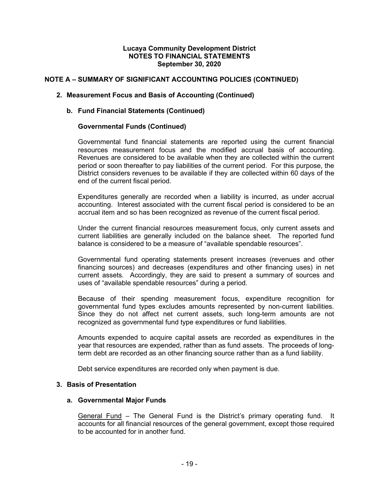## **NOTE A – SUMMARY OF SIGNIFICANT ACCOUNTING POLICIES (CONTINUED)**

### **2. Measurement Focus and Basis of Accounting (Continued)**

### **b. Fund Financial Statements (Continued)**

#### **Governmental Funds (Continued)**

Governmental fund financial statements are reported using the current financial resources measurement focus and the modified accrual basis of accounting. Revenues are considered to be available when they are collected within the current period or soon thereafter to pay liabilities of the current period. For this purpose, the District considers revenues to be available if they are collected within 60 days of the end of the current fiscal period.

Expenditures generally are recorded when a liability is incurred, as under accrual accounting. Interest associated with the current fiscal period is considered to be an accrual item and so has been recognized as revenue of the current fiscal period.

Under the current financial resources measurement focus, only current assets and current liabilities are generally included on the balance sheet. The reported fund balance is considered to be a measure of "available spendable resources".

Governmental fund operating statements present increases (revenues and other financing sources) and decreases (expenditures and other financing uses) in net current assets. Accordingly, they are said to present a summary of sources and uses of "available spendable resources" during a period.

Because of their spending measurement focus, expenditure recognition for governmental fund types excludes amounts represented by non-current liabilities. Since they do not affect net current assets, such long-term amounts are not recognized as governmental fund type expenditures or fund liabilities.

Amounts expended to acquire capital assets are recorded as expenditures in the year that resources are expended, rather than as fund assets. The proceeds of longterm debt are recorded as an other financing source rather than as a fund liability.

Debt service expenditures are recorded only when payment is due.

## **3. Basis of Presentation**

#### **a. Governmental Major Funds**

General Fund – The General Fund is the District's primary operating fund. It accounts for all financial resources of the general government, except those required to be accounted for in another fund.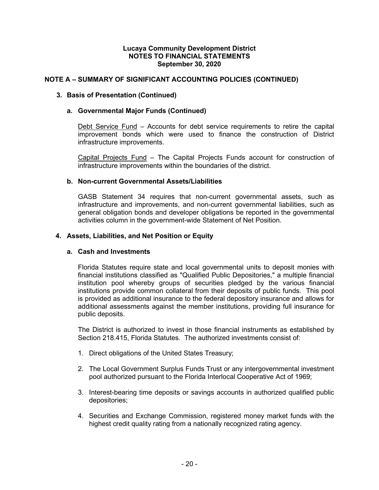## **NOTE A – SUMMARY OF SIGNIFICANT ACCOUNTING POLICIES (CONTINUED)**

## **3. Basis of Presentation (Continued)**

### **a. Governmental Major Funds (Continued)**

Debt Service Fund – Accounts for debt service requirements to retire the capital improvement bonds which were used to finance the construction of District infrastructure improvements.

Capital Projects Fund – The Capital Projects Funds account for construction of infrastructure improvements within the boundaries of the district.

#### **b. Non-current Governmental Assets/Liabilities**

GASB Statement 34 requires that non-current governmental assets, such as infrastructure and improvements, and non-current governmental liabilities, such as general obligation bonds and developer obligations be reported in the governmental activities column in the government-wide Statement of Net Position.

### **4. Assets, Liabilities, and Net Position or Equity**

#### **a. Cash and Investments**

Florida Statutes require state and local governmental units to deposit monies with financial institutions classified as "Qualified Public Depositories," a multiple financial institution pool whereby groups of securities pledged by the various financial institutions provide common collateral from their deposits of public funds. This pool is provided as additional insurance to the federal depository insurance and allows for additional assessments against the member institutions, providing full insurance for public deposits.

The District is authorized to invest in those financial instruments as established by Section 218.415, Florida Statutes. The authorized investments consist of:

- 1. Direct obligations of the United States Treasury;
- 2. The Local Government Surplus Funds Trust or any intergovernmental investment pool authorized pursuant to the Florida Interlocal Cooperative Act of 1969;
- 3. Interest-bearing time deposits or savings accounts in authorized qualified public depositories;
- 4. Securities and Exchange Commission, registered money market funds with the highest credit quality rating from a nationally recognized rating agency.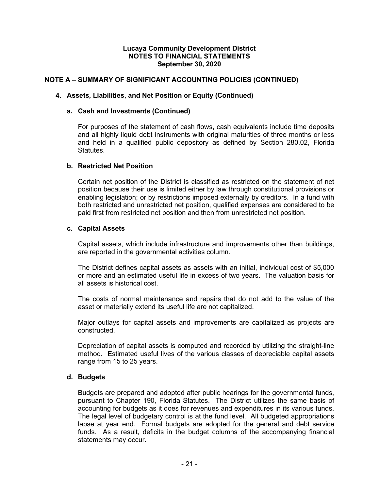### **NOTE A – SUMMARY OF SIGNIFICANT ACCOUNTING POLICIES (CONTINUED)**

### **4. Assets, Liabilities, and Net Position or Equity (Continued)**

#### **a. Cash and Investments (Continued)**

For purposes of the statement of cash flows, cash equivalents include time deposits and all highly liquid debt instruments with original maturities of three months or less and held in a qualified public depository as defined by Section 280.02, Florida Statutes.

#### **b. Restricted Net Position**

Certain net position of the District is classified as restricted on the statement of net position because their use is limited either by law through constitutional provisions or enabling legislation; or by restrictions imposed externally by creditors. In a fund with both restricted and unrestricted net position, qualified expenses are considered to be paid first from restricted net position and then from unrestricted net position.

### **c. Capital Assets**

Capital assets, which include infrastructure and improvements other than buildings, are reported in the governmental activities column.

The District defines capital assets as assets with an initial, individual cost of \$5,000 or more and an estimated useful life in excess of two years. The valuation basis for all assets is historical cost.

The costs of normal maintenance and repairs that do not add to the value of the asset or materially extend its useful life are not capitalized.

Major outlays for capital assets and improvements are capitalized as projects are constructed.

Depreciation of capital assets is computed and recorded by utilizing the straight-line method. Estimated useful lives of the various classes of depreciable capital assets range from 15 to 25 years.

## **d. Budgets**

Budgets are prepared and adopted after public hearings for the governmental funds, pursuant to Chapter 190, Florida Statutes. The District utilizes the same basis of accounting for budgets as it does for revenues and expenditures in its various funds. The legal level of budgetary control is at the fund level. All budgeted appropriations lapse at year end. Formal budgets are adopted for the general and debt service funds. As a result, deficits in the budget columns of the accompanying financial statements may occur.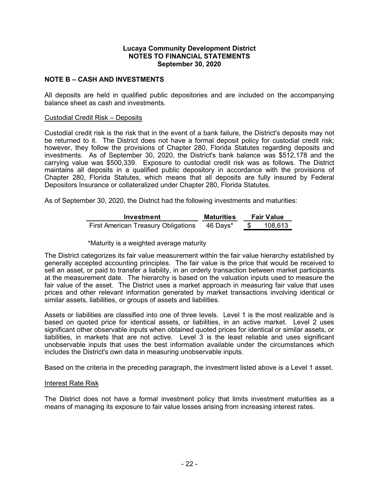### **NOTE B – CASH AND INVESTMENTS**

All deposits are held in qualified public depositories and are included on the accompanying balance sheet as cash and investments.

#### Custodial Credit Risk – Deposits

Custodial credit risk is the risk that in the event of a bank failure, the District's deposits may not be returned to it. The District does not have a formal deposit policy for custodial credit risk; however, they follow the provisions of Chapter 280, Florida Statutes regarding deposits and investments. As of September 30, 2020, the District's bank balance was \$512,178 and the carrying value was \$500,339. Exposure to custodial credit risk was as follows. The District maintains all deposits in a qualified public depository in accordance with the provisions of Chapter 280, Florida Statutes, which means that all deposits are fully insured by Federal Depositors Insurance or collateralized under Chapter 280, Florida Statutes.

As of September 30, 2020, the District had the following investments and maturities:

| Investment                          | <b>Maturities</b> | <b>Fair Value</b> |         |  |  |
|-------------------------------------|-------------------|-------------------|---------|--|--|
| First American Treasury Obligations | 46 Days*          |                   | 108.613 |  |  |

#### \*Maturity is a weighted average maturity

The District categorizes its fair value measurement within the fair value hierarchy established by generally accepted accounting principles. The fair value is the price that would be received to sell an asset, or paid to transfer a liability, in an orderly transaction between market participants at the measurement date. The hierarchy is based on the valuation inputs used to measure the fair value of the asset. The District uses a market approach in measuring fair value that uses prices and other relevant information generated by market transactions involving identical or similar assets, liabilities, or groups of assets and liabilities.

Assets or liabilities are classified into one of three levels. Level 1 is the most realizable and is based on quoted price for identical assets, or liabilities, in an active market. Level 2 uses significant other observable inputs when obtained quoted prices for identical or similar assets, or liabilities, in markets that are not active. Level 3 is the least reliable and uses significant unobservable inputs that uses the best information available under the circumstances which includes the District's own data in measuring unobservable inputs.

Based on the criteria in the preceding paragraph, the investment listed above is a Level 1 asset.

#### Interest Rate Risk

The District does not have a formal investment policy that limits investment maturities as a means of managing its exposure to fair value losses arising from increasing interest rates.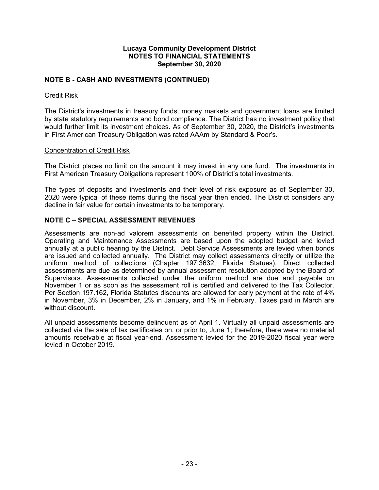### **NOTE B - CASH AND INVESTMENTS (CONTINUED)**

#### Credit Risk

The District's investments in treasury funds, money markets and government loans are limited by state statutory requirements and bond compliance. The District has no investment policy that would further limit its investment choices. As of September 30, 2020, the District's investments in First American Treasury Obligation was rated AAAm by Standard & Poor's.

#### Concentration of Credit Risk

The District places no limit on the amount it may invest in any one fund. The investments in First American Treasury Obligations represent 100% of District's total investments.

The types of deposits and investments and their level of risk exposure as of September 30, 2020 were typical of these items during the fiscal year then ended. The District considers any decline in fair value for certain investments to be temporary.

### **NOTE C – SPECIAL ASSESSMENT REVENUES**

Assessments are non-ad valorem assessments on benefited property within the District. Operating and Maintenance Assessments are based upon the adopted budget and levied annually at a public hearing by the District. Debt Service Assessments are levied when bonds are issued and collected annually. The District may collect assessments directly or utilize the uniform method of collections (Chapter 197.3632, Florida Statues). Direct collected assessments are due as determined by annual assessment resolution adopted by the Board of Supervisors. Assessments collected under the uniform method are due and payable on November 1 or as soon as the assessment roll is certified and delivered to the Tax Collector. Per Section 197.162, Florida Statutes discounts are allowed for early payment at the rate of 4% in November, 3% in December, 2% in January, and 1% in February. Taxes paid in March are without discount.

All unpaid assessments become delinquent as of April 1. Virtually all unpaid assessments are collected via the sale of tax certificates on, or prior to, June 1; therefore, there were no material amounts receivable at fiscal year-end. Assessment levied for the 2019-2020 fiscal year were levied in October 2019.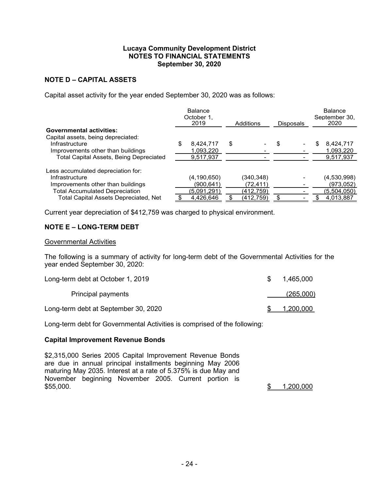## **NOTE D – CAPITAL ASSETS**

Capital asset activity for the year ended September 30, 2020 was as follows:

|                                                | <b>Balance</b><br>October 1.<br>2019 |             | Additions |           | <b>Disposals</b> |  | <b>Balance</b><br>September 30.<br>2020 |             |
|------------------------------------------------|--------------------------------------|-------------|-----------|-----------|------------------|--|-----------------------------------------|-------------|
| <b>Governmental activities:</b>                |                                      |             |           |           |                  |  |                                         |             |
| Capital assets, being depreciated:             |                                      |             |           |           |                  |  |                                         |             |
| Infrastructure                                 | \$                                   | 8,424,717   | \$        |           | \$               |  | S                                       | 8,424,717   |
| Improvements other than buildings              |                                      | 1,093,220   |           |           |                  |  |                                         | 1,093,220   |
| <b>Total Capital Assets, Being Depreciated</b> |                                      | 9,517,937   |           |           |                  |  |                                         | 9,517,937   |
| Less accumulated depreciation for:             |                                      |             |           |           |                  |  |                                         |             |
| Infrastructure                                 |                                      | (4,190,650) |           | (340,348) |                  |  |                                         | (4,530,998) |
| Improvements other than buildings              |                                      | (900, 641)  |           | (72, 411) |                  |  |                                         | (973,052)   |
| <b>Total Accumulated Depreciation</b>          |                                      | (5,091,291) |           | (412,759) |                  |  |                                         | (5,504,050) |
| <b>Total Capital Assets Depreciated, Net</b>   |                                      | 4,426,646   |           | (412,759) | \$.              |  |                                         | 4,013,887   |

Current year depreciation of \$412,759 was charged to physical environment.

### **NOTE E – LONG-TERM DEBT**

#### Governmental Activities

The following is a summary of activity for long-term debt of the Governmental Activities for the year ended September 30, 2020:

| Long-term debt at October 1, 2019    | 1,465,000 |
|--------------------------------------|-----------|
| <b>Principal payments</b>            | (265,000) |
| Long-term debt at September 30, 2020 | 1,200,000 |

Long-term debt for Governmental Activities is comprised of the following:

#### **Capital Improvement Revenue Bonds**

\$2,315,000 Series 2005 Capital Improvement Revenue Bonds are due in annual principal installments beginning May 2006 maturing May 2035. Interest at a rate of 5.375% is due May and November beginning November 2005. Current portion is \$55,000. \$ 1,200,000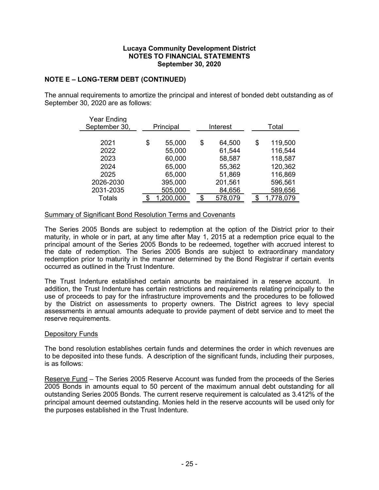## **NOTE E – LONG-TERM DEBT (CONTINUED)**

The annual requirements to amortize the principal and interest of bonded debt outstanding as of September 30, 2020 are as follows:

| <b>Year Ending</b><br>September 30, | Principal |           | Interest     |    | Total     |  |  |
|-------------------------------------|-----------|-----------|--------------|----|-----------|--|--|
|                                     |           |           |              |    |           |  |  |
| 2021                                | \$        | 55,000    | \$<br>64,500 | \$ | 119,500   |  |  |
| 2022                                |           | 55,000    | 61,544       |    | 116,544   |  |  |
| 2023                                |           | 60,000    | 58,587       |    | 118,587   |  |  |
| 2024                                |           | 65,000    | 55,362       |    | 120,362   |  |  |
| 2025                                |           | 65,000    | 51,869       |    | 116,869   |  |  |
| 2026-2030                           |           | 395,000   | 201,561      |    | 596,561   |  |  |
| 2031-2035                           |           | 505,000   | 84,656       |    | 589,656   |  |  |
| Totals                              |           | 1,200,000 | 578,079      |    | 1,778,079 |  |  |

### Summary of Significant Bond Resolution Terms and Covenants

The Series 2005 Bonds are subject to redemption at the option of the District prior to their maturity, in whole or in part, at any time after May 1, 2015 at a redemption price equal to the principal amount of the Series 2005 Bonds to be redeemed, together with accrued interest to the date of redemption. The Series 2005 Bonds are subject to extraordinary mandatory redemption prior to maturity in the manner determined by the Bond Registrar if certain events occurred as outlined in the Trust Indenture.

The Trust Indenture established certain amounts be maintained in a reserve account. In addition, the Trust Indenture has certain restrictions and requirements relating principally to the use of proceeds to pay for the infrastructure improvements and the procedures to be followed by the District on assessments to property owners. The District agrees to levy special assessments in annual amounts adequate to provide payment of debt service and to meet the reserve requirements.

## Depository Funds

The bond resolution establishes certain funds and determines the order in which revenues are to be deposited into these funds. A description of the significant funds, including their purposes, is as follows:

Reserve Fund – The Series 2005 Reserve Account was funded from the proceeds of the Series 2005 Bonds in amounts equal to 50 percent of the maximum annual debt outstanding for all outstanding Series 2005 Bonds. The current reserve requirement is calculated as 3.412% of the principal amount deemed outstanding. Monies held in the reserve accounts will be used only for the purposes established in the Trust Indenture.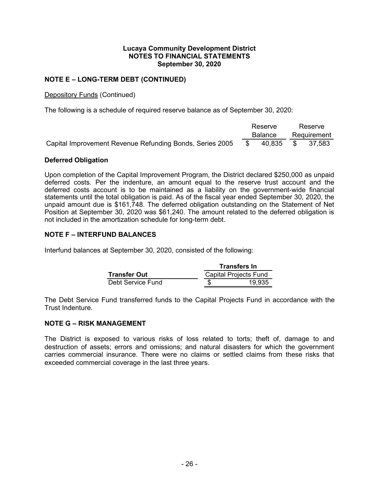## **NOTE E – LONG-TERM DEBT (CONTINUED)**

### Depository Funds (Continued)

The following is a schedule of required reserve balance as of September 30, 2020:

|                                                          | Reserve |                  | Reserve     |  |
|----------------------------------------------------------|---------|------------------|-------------|--|
|                                                          | Balance |                  | Requirement |  |
| Capital Improvement Revenue Refunding Bonds, Series 2005 | - S     | 40,835 \$ 37,583 |             |  |

### **Deferred Obligation**

Upon completion of the Capital Improvement Program, the District declared \$250,000 as unpaid deferred costs. Per the indenture, an amount equal to the reserve trust account and the deferred costs account is to be maintained as a liability on the government-wide financial statements until the total obligation is paid. As of the fiscal year ended September 30, 2020, the unpaid amount due is \$161,748. The deferred obligation outstanding on the Statement of Net Position at September 30, 2020 was \$61,240. The amount related to the deferred obligation is not included in the amortization schedule for long-term debt.

## **NOTE F – INTERFUND BALANCES**

Interfund balances at September 30, 2020, consisted of the following:

|                     | <b>Transfers In</b>          |  |  |
|---------------------|------------------------------|--|--|
| <b>Transfer Out</b> | <b>Capital Projects Fund</b> |  |  |
| Debt Service Fund   | 19.935                       |  |  |

The Debt Service Fund transferred funds to the Capital Projects Fund in accordance with the Trust Indenture.

### **NOTE G – RISK MANAGEMENT**

The District is exposed to various risks of loss related to torts; theft of, damage to and destruction of assets; errors and omissions; and natural disasters for which the government carries commercial insurance. There were no claims or settled claims from these risks that exceeded commercial coverage in the last three years.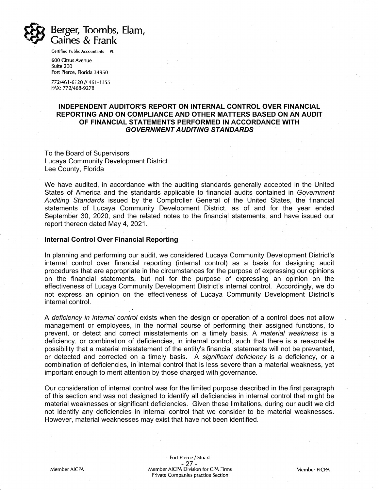

Certified Public Accountants PL

600 Citrus Avenue Suite 200 Fort Pierce, Florida 34950

772/461-6120 // 461-1155 FAX: 772/468-9278

#### **INDEPENDENT AUDITOR'S REPORT ON INTERNAL CONTROL OVER FINANCIAL REPORTING AND ON COMPLIANCE AND OTHER MATTERS BASED ON AN AUDIT OF FINANCIAL STATEMENTS PERFORMED IN ACCORDANCE WITH** *GOVERNMENT AUDITING STANDARDS*

To the Board of Supervisors Lucaya Community Development District Lee County, Florida

We have audited, in accordance with the auditing standards generally accepted in the United States of America and the standards applicable to financial audits contained in *Government Auditing Standards* issued by the Comptroller General of the United States, the financial statements of Lucaya Community Development District, as of and for the year ended September 30, 2020, and the related notes to the financial statements, and have issued our report thereon dated May 4, 2021.

#### **Internal Control Over Financial Reporting**

In planning and performing our audit, we considered Lucaya Community Development District's internal control over financial reporting (internal control) as a basis for designing audit procedures that are appropriate in the circumstances for the purpose of expressing our opinions on the financial statements, but not for the purpose of expressing an opinion on the effectiveness of Lucaya Community Development District's internal control. Accordingly, we do not express an opinion on the effectiveness of Lucaya Community Development District's internal control.

A *deficiency in internal control* exists when the design or operation of a control does not allow management or employees, in the normal course of performing their assigned functions, to prevent, or detect and correct misstatements on a timely basis. A *material weakness* is a deficiency, or combination of deficiencies, in internal control, such that there is a reasonable possibility that a material misstatement of the entity's financial statements will not be prevented, or detected and corrected on a timely basis. A *significant deficiency* is a deficiency, or a combination of deficiencies, in internal control that is less severe than a material weakness, yet important enough to merit attention by those charged with governance.

Our consideration of internal control was for the limited purpose described in the first paragraph of this section and was not designed to identify all deficiencies in internal control that might be material weaknesses or significant deficiencies. Given these limitations, during our audit we did not identify any deficiencies in internal control that we consider to be material weaknesses. However, material weaknesses may exist that have not been identified.

Member AICPA

Fort Pierce / Stuart - 27 -<br>Member AICPA Division for CPA Firms Private Companies practice Section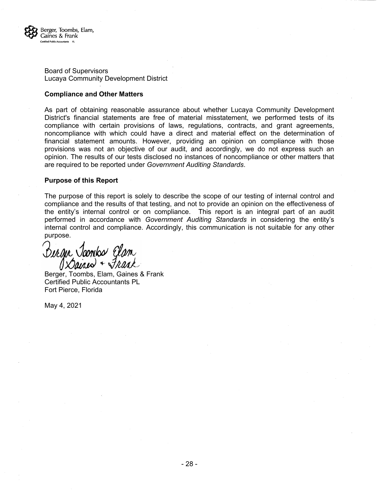

Board of Supervisors Lucaya Community Development District

#### **Compliance and Other Matters**

As part of obtaining reasonable assurance about whether Lucaya Community Development District's financial statements are free of material misstatement, we performed tests of its compliance with certain provisions of laws, regulations, contracts, and grant agreements, noncompliance with which could have a direct and material effect on the determination of financial statement amounts. However, providing an opinion on compliance with those provisions was not an objective of our audit, and accordingly, we do not express such an opinion. The results of our tests disclosed no instances of noncompliance or other matters that are required to be reported under *Government Auditing Standards*.

#### **Purpose of this Report**

The purpose of this report is solely to describe the scope of our testing of internal control and compliance and the results of that testing, and not to provide an opinion on the effectiveness of the entity's internal control or on compliance. This report is an integral part of an audit performed in accordance with *Government Auditing Standards* in considering the entity's internal control and compliance. Accordingly, this communication is not suitable for any other purpose.

Birgir Joonbo Glam<br>Isaines + Frank

Berger, Toombs, Elam, Gaines & Frank Certified Public Accountants PL Fort Pierce, Florida

May 4, 2021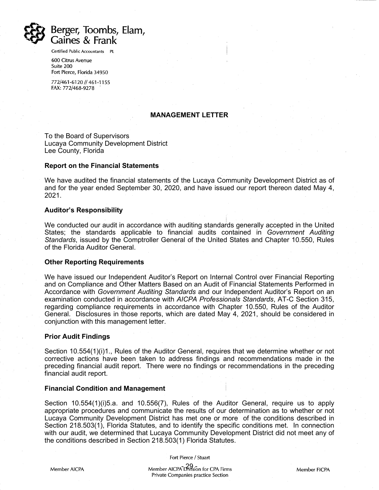

Certified Public Accountants PL

600 Citrus Avenue Suite 200 Fort Pierce, Florida 34950

772/461-6120 // 461-1155 FAX: 772/468-9278

#### **MANAGEMENT LETTER**

#### To the Board of Supervisors Lucaya Community Development District Lee County, Florida

#### **Report on the Financial Statements**

We have audited the financial statements of the Lucaya Community Development District as of and for the year ended September 30, 2020, and have issued our report thereon dated May 4, 2021.

#### **Auditor's Responsibility**

We conducted our audit in accordance with auditing standards generally accepted in the United States; the standards applicable to financial audits contained in *Government Auditing Standards*, issued by the Comptroller General of the United States and Chapter 10.550, Rules of the Florida Auditor General.

#### **Other Reporting Requirements**

We have issued our Independent Auditor's Report on Internal Control over Financial Reporting and on Compliance and Other Matters Based on an Audit of Financial Statements Performed in Accordance with *Government Auditing Standards* and our Independent Auditor's Report on an examination conducted in accordance with *AICPA Professionals Standards*, AT-C Section 315, regarding compliance requirements in accordance with Chapter 10.550, Rules of the Auditor General. Disclosures in those reports, which are dated May 4, 2021, should be considered in conjunction with this management letter.

#### **Prior Audit Findings**

Section 10.554(1)(i)1., Rules of the Auditor General, requires that we determine whether or not corrective actions have been taken to address findings and recommendations made in the preceding financial audit report. There were no findings or recommendations in the preceding financial audit report.

#### **Financial Condition and Management**

Section 10.554(1)(i)5.a. and 10.556(7), Rules of the Auditor General, require us to apply appropriate procedures and communicate the results of our determination as to whether or not Lucaya Community Development District has met one or more of the conditions described in Section 218.503(1), Florida Statutes, and to identify the specific conditions met. In connection with our audit, we determined that Lucaya Community Development District did not meet any of the conditions described in Section 218.503(1) Florida Statutes.

Fort Pierce / Stuart

Member AICPA<sup>-DA</sup>Wsion for CPA Firms Private Companies practice Section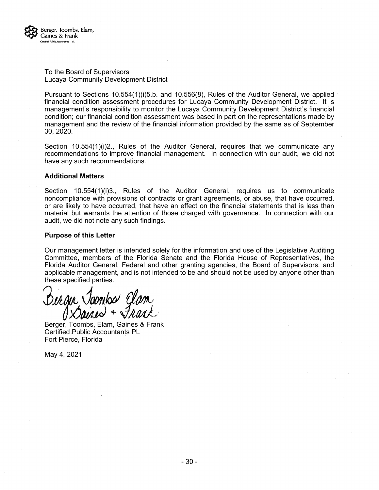

To the Board of Supervisors Lucaya Community Development District

Pursuant to Sections 10.554(1)(i)5.b. and 10.556(8), Rules of the Auditor General, we applied financial condition assessment procedures for Lucaya Community Development District. It is management's responsibility to monitor the Lucaya Community Development District's financial condition; our financial condition assessment was based in part on the representations made by management and the review of the financial information provided by the same as of September 30, 2020.

Section 10.554(1)(i)2., Rules of the Auditor General, requires that we communicate any recommendations to improve financial management. In connection with our audit, we did not have any such recommendations.

#### **Additional Matters**

Section 10.554(1)(i)3., Rules of the Auditor General, requires us to communicate noncompliance with provisions of contracts or grant agreements, or abuse, that have occurred, or are likely to have occurred, that have an effect on the financial statements that is less than material but warrants the attention of those charged with governance. In connection with our audit, we did not note any such findings.

#### **Purpose of this Letter**

Our management letter is intended solely for the information and use of the Legislative Auditing Committee, members of the Florida Senate and the Florida House of Representatives, the Florida Auditor General, Federal and other granting agencies, the Board of Supervisors, and applicable management, and is not intended to be and should not be used by anyone other than these specified parties.

Dergie Joonlos Elam

Berger, Toombs, Elam, Gaines & Frank Certified Public Accountants PL Fort Pierce, Florida

May 4, 2021